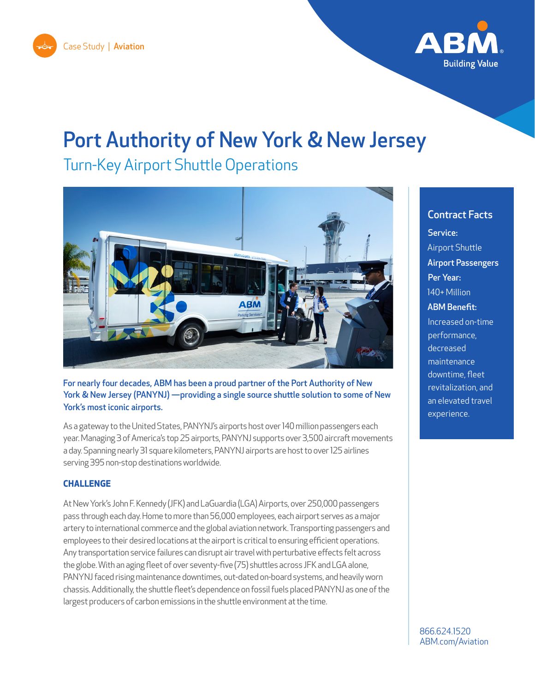



# Port Authority of New York & New Jersey

Turn-Key Airport Shuttle Operations



For nearly four decades, ABM has been a proud partner of the Port Authority of New York & New Jersey (PANYNJ) —providing a single source shuttle solution to some of New York's most iconic airports.

As a gateway to the United States, PANYNJ's airports host over 140 million passengers each year. Managing 3 of America's top 25 airports, PANYNJ supports over 3,500 aircraft movements a day. Spanning nearly 31 square kilometers, PANYNJ airports are host to over 125 airlines serving 395 non-stop destinations worldwide.

#### **CHALLENGE**

At New York's John F. Kennedy (JFK) and LaGuardia (LGA) Airports, over 250,000 passengers pass through each day. Home to more than 56,000 employees, each airport serves as a major artery to international commerce and the global aviation network. Transporting passengers and employees to their desired locations at the airport is critical to ensuring efficient operations. Any transportation service failures can disrupt air travel with perturbative effects felt across the globe. With an aging fleet of over seventy-five (75) shuttles across JFK and LGA alone, PANYNJ faced rising maintenance downtimes, out-dated on-board systems, and heavily worn chassis. Additionally, the shuttle fleet's dependence on fossil fuels placed PANYNJ as one of the largest producers of carbon emissions in the shuttle environment at the time.

## Contract Facts

Service: Airport Shuttle Airport Passengers Per Year: 140+ Million ABM Benefit: Increased on-time performance, decreased maintenance downtime, fleet revitalization, and an elevated travel experience.